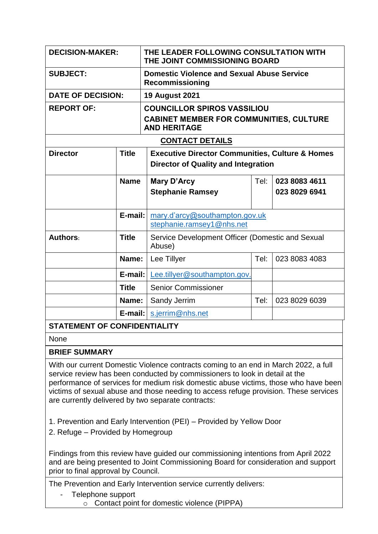| <b>DECISION-MAKER:</b>       |              | THE LEADER FOLLOWING CONSULTATION WITH<br>THE JOINT COMMISSIONING BOARD                                     |      |                                |  |
|------------------------------|--------------|-------------------------------------------------------------------------------------------------------------|------|--------------------------------|--|
| <b>SUBJECT:</b>              |              | <b>Domestic Violence and Sexual Abuse Service</b><br><b>Recommissioning</b>                                 |      |                                |  |
| <b>DATE OF DECISION:</b>     |              | <b>19 August 2021</b>                                                                                       |      |                                |  |
| <b>REPORT OF:</b>            |              | <b>COUNCILLOR SPIROS VASSILIOU</b><br><b>CABINET MEMBER FOR COMMUNITIES, CULTURE</b><br><b>AND HERITAGE</b> |      |                                |  |
| <b>CONTACT DETAILS</b>       |              |                                                                                                             |      |                                |  |
| <b>Director</b>              | <b>Title</b> | <b>Executive Director Communities, Culture &amp; Homes</b><br><b>Director of Quality and Integration</b>    |      |                                |  |
|                              | <b>Name</b>  | <b>Mary D'Arcy</b><br><b>Stephanie Ramsey</b>                                                               | Tel: | 023 8083 4611<br>023 8029 6941 |  |
|                              | E-mail:      | mary.d'arcy@southampton.gov.uk<br>stephanie.ramsey1@nhs.net                                                 |      |                                |  |
| <b>Authors:</b>              | <b>Title</b> | Service Development Officer (Domestic and Sexual<br>Abuse)                                                  |      |                                |  |
|                              | Name:        | Lee Tillyer                                                                                                 | Tel: | 023 8083 4083                  |  |
|                              | $E$ -mail:   | Lee.tillyer@southampton.gov.                                                                                |      |                                |  |
|                              | <b>Title</b> | <b>Senior Commissioner</b>                                                                                  |      |                                |  |
|                              | Name:        | Sandy Jerrim                                                                                                | Tel: | 023 8029 6039                  |  |
|                              | E-mail:      | s.jerrim@nhs.net                                                                                            |      |                                |  |
| STATEMENT OF CONEIDENTIALITY |              |                                                                                                             |      |                                |  |

## **STATEMENT OF CONFIDENTIALITY**

None

## **BRIEF SUMMARY**

With our current Domestic Violence contracts coming to an end in March 2022, a full service review has been conducted by commissioners to look in detail at the performance of services for medium risk domestic abuse victims, those who have been victims of sexual abuse and those needing to access refuge provision. These services are currently delivered by two separate contracts:

- 1. Prevention and Early Intervention (PEI) Provided by Yellow Door
- 2. Refuge Provided by Homegroup

Findings from this review have guided our commissioning intentions from April 2022 and are being presented to Joint Commissioning Board for consideration and support prior to final approval by Council.

The Prevention and Early Intervention service currently delivers:

- Telephone support
	- o Contact point for domestic violence (PIPPA)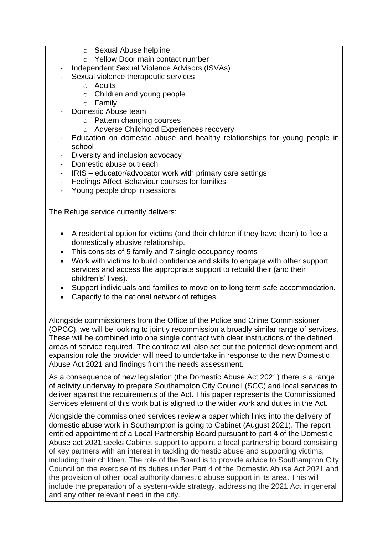- o Sexual Abuse helpline
- o Yellow Door main contact number
- Independent Sexual Violence Advisors (ISVAs)
- Sexual violence therapeutic services
	- o Adults
	- o Children and young people
	- o Family
- Domestic Abuse team
	- o Pattern changing courses
	- o Adverse Childhood Experiences recovery
- Education on domestic abuse and healthy relationships for young people in school
- Diversity and inclusion advocacy
- Domestic abuse outreach
- IRIS educator/advocator work with primary care settings
- Feelings Affect Behaviour courses for families
- Young people drop in sessions

The Refuge service currently delivers:

- A residential option for victims (and their children if they have them) to flee a domestically abusive relationship.
- This consists of 5 family and 7 single occupancy rooms
- Work with victims to build confidence and skills to engage with other support services and access the appropriate support to rebuild their (and their children's' lives).
- Support individuals and families to move on to long term safe accommodation.
- Capacity to the national network of refuges.

Alongside commissioners from the Office of the Police and Crime Commissioner (OPCC), we will be looking to jointly recommission a broadly similar range of services. These will be combined into one single contract with clear instructions of the defined areas of service required. The contract will also set out the potential development and expansion role the provider will need to undertake in response to the new Domestic Abuse Act 2021 and findings from the needs assessment.

As a consequence of new legislation (the Domestic Abuse Act 2021) there is a range of activity underway to prepare Southampton City Council (SCC) and local services to deliver against the requirements of the Act. This paper represents the Commissioned Services element of this work but is aligned to the wider work and duties in the Act.

Alongside the commissioned services review a paper which links into the delivery of domestic abuse work in Southampton is going to Cabinet (August 2021). The report entitled appointment of a Local Partnership Board pursuant to part 4 of the Domestic Abuse act 2021 seeks Cabinet support to appoint a local partnership board consisting of key partners with an interest in tackling domestic abuse and supporting victims, including their children. The role of the Board is to provide advice to Southampton City Council on the exercise of its duties under Part 4 of the Domestic Abuse Act 2021 and the provision of other local authority domestic abuse support in its area. This will include the preparation of a system-wide strategy, addressing the 2021 Act in general and any other relevant need in the city.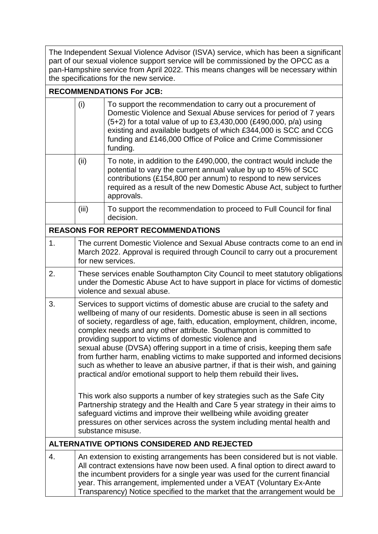The Independent Sexual Violence Advisor (ISVA) service, which has been a significant part of our sexual violence support service will be commissioned by the OPCC as a pan-Hampshire service from April 2022. This means changes will be necessary within the specifications for the new service.

**RECOMMENDATIONS For JCB:**

|    | (i)                                                                                                                                                                                                                                                                                                                                                                                                                                                                                                                                                                                                                                                                                                  | To support the recommendation to carry out a procurement of<br>Domestic Violence and Sexual Abuse services for period of 7 years<br>$(5+2)$ for a total value of up to £3,430,000 (£490,000, p/a) using<br>existing and available budgets of which £344,000 is SCC and CCG<br>funding and £146,000 Office of Police and Crime Commissioner<br>funding. |  |  |
|----|------------------------------------------------------------------------------------------------------------------------------------------------------------------------------------------------------------------------------------------------------------------------------------------------------------------------------------------------------------------------------------------------------------------------------------------------------------------------------------------------------------------------------------------------------------------------------------------------------------------------------------------------------------------------------------------------------|--------------------------------------------------------------------------------------------------------------------------------------------------------------------------------------------------------------------------------------------------------------------------------------------------------------------------------------------------------|--|--|
|    | (ii)                                                                                                                                                                                                                                                                                                                                                                                                                                                                                                                                                                                                                                                                                                 | To note, in addition to the £490,000, the contract would include the<br>potential to vary the current annual value by up to 45% of SCC<br>contributions (£154,800 per annum) to respond to new services<br>required as a result of the new Domestic Abuse Act, subject to further<br>approvals.                                                        |  |  |
|    | (iii)                                                                                                                                                                                                                                                                                                                                                                                                                                                                                                                                                                                                                                                                                                | To support the recommendation to proceed to Full Council for final<br>decision.                                                                                                                                                                                                                                                                        |  |  |
|    |                                                                                                                                                                                                                                                                                                                                                                                                                                                                                                                                                                                                                                                                                                      | <b>REASONS FOR REPORT RECOMMENDATIONS</b>                                                                                                                                                                                                                                                                                                              |  |  |
| 1. | The current Domestic Violence and Sexual Abuse contracts come to an end in<br>March 2022. Approval is required through Council to carry out a procurement<br>for new services.                                                                                                                                                                                                                                                                                                                                                                                                                                                                                                                       |                                                                                                                                                                                                                                                                                                                                                        |  |  |
| 2. | These services enable Southampton City Council to meet statutory obligations<br>under the Domestic Abuse Act to have support in place for victims of domestic<br>violence and sexual abuse.                                                                                                                                                                                                                                                                                                                                                                                                                                                                                                          |                                                                                                                                                                                                                                                                                                                                                        |  |  |
| 3. | Services to support victims of domestic abuse are crucial to the safety and<br>wellbeing of many of our residents. Domestic abuse is seen in all sections<br>of society, regardless of age, faith, education, employment, children, income,<br>complex needs and any other attribute. Southampton is committed to<br>providing support to victims of domestic violence and<br>sexual abuse (DVSA) offering support in a time of crisis, keeping them safe<br>from further harm, enabling victims to make supported and informed decisions<br>such as whether to leave an abusive partner, if that is their wish, and gaining<br>practical and/or emotional support to help them rebuild their lives. |                                                                                                                                                                                                                                                                                                                                                        |  |  |
|    | This work also supports a number of key strategies such as the Safe City<br>Partnership strategy and the Health and Care 5 year strategy in their aims to<br>safeguard victims and improve their wellbeing while avoiding greater<br>pressures on other services across the system including mental health and<br>substance misuse.                                                                                                                                                                                                                                                                                                                                                                  |                                                                                                                                                                                                                                                                                                                                                        |  |  |
|    |                                                                                                                                                                                                                                                                                                                                                                                                                                                                                                                                                                                                                                                                                                      | ALTERNATIVE OPTIONS CONSIDERED AND REJECTED                                                                                                                                                                                                                                                                                                            |  |  |
| 4. | An extension to existing arrangements has been considered but is not viable.<br>All contract extensions have now been used. A final option to direct award to<br>the incumbent providers for a single year was used for the current financial<br>year. This arrangement, implemented under a VEAT (Voluntary Ex-Ante                                                                                                                                                                                                                                                                                                                                                                                 |                                                                                                                                                                                                                                                                                                                                                        |  |  |

Transparency) Notice specified to the market that the arrangement would be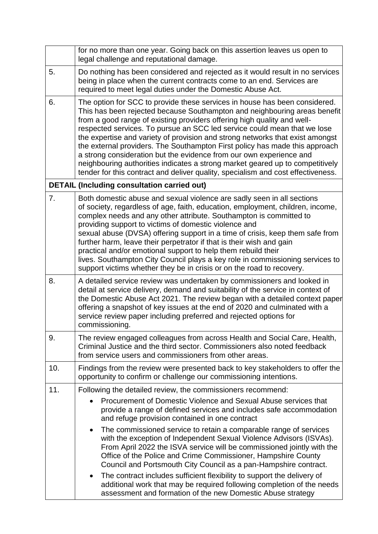|     | for no more than one year. Going back on this assertion leaves us open to<br>legal challenge and reputational damage.                                                                                                                                                                                                                                                                                                                                                                                                                                                                                                                                                                                                                                                                             |  |  |  |
|-----|---------------------------------------------------------------------------------------------------------------------------------------------------------------------------------------------------------------------------------------------------------------------------------------------------------------------------------------------------------------------------------------------------------------------------------------------------------------------------------------------------------------------------------------------------------------------------------------------------------------------------------------------------------------------------------------------------------------------------------------------------------------------------------------------------|--|--|--|
| 5.  | Do nothing has been considered and rejected as it would result in no services<br>being in place when the current contracts come to an end. Services are<br>required to meet legal duties under the Domestic Abuse Act.                                                                                                                                                                                                                                                                                                                                                                                                                                                                                                                                                                            |  |  |  |
| 6.  | The option for SCC to provide these services in house has been considered.<br>This has been rejected because Southampton and neighbouring areas benefit<br>from a good range of existing providers offering high quality and well-<br>respected services. To pursue an SCC led service could mean that we lose<br>the expertise and variety of provision and strong networks that exist amongst<br>the external providers. The Southampton First policy has made this approach<br>a strong consideration but the evidence from our own experience and<br>neighbouring authorities indicates a strong market geared up to competitively<br>tender for this contract and deliver quality, specialism and cost effectiveness.                                                                        |  |  |  |
|     | <b>DETAIL (Including consultation carried out)</b>                                                                                                                                                                                                                                                                                                                                                                                                                                                                                                                                                                                                                                                                                                                                                |  |  |  |
| 7.  | Both domestic abuse and sexual violence are sadly seen in all sections<br>of society, regardless of age, faith, education, employment, children, income,<br>complex needs and any other attribute. Southampton is committed to<br>providing support to victims of domestic violence and<br>sexual abuse (DVSA) offering support in a time of crisis, keep them safe from<br>further harm, leave their perpetrator if that is their wish and gain<br>practical and/or emotional support to help them rebuild their<br>lives. Southampton City Council plays a key role in commissioning services to<br>support victims whether they be in crisis or on the road to recovery.                                                                                                                       |  |  |  |
| 8.  | A detailed service review was undertaken by commissioners and looked in<br>detail at service delivery, demand and suitability of the service in context of<br>the Domestic Abuse Act 2021. The review began with a detailed context paper<br>offering a snapshot of key issues at the end of 2020 and culminated with a<br>service review paper including preferred and rejected options for<br>commissioning.                                                                                                                                                                                                                                                                                                                                                                                    |  |  |  |
| 9.  | The review engaged colleagues from across Health and Social Care, Health,<br>Criminal Justice and the third sector. Commissioners also noted feedback<br>from service users and commissioners from other areas.                                                                                                                                                                                                                                                                                                                                                                                                                                                                                                                                                                                   |  |  |  |
| 10. | Findings from the review were presented back to key stakeholders to offer the<br>opportunity to confirm or challenge our commissioning intentions.                                                                                                                                                                                                                                                                                                                                                                                                                                                                                                                                                                                                                                                |  |  |  |
| 11. | Following the detailed review, the commissioners recommend:                                                                                                                                                                                                                                                                                                                                                                                                                                                                                                                                                                                                                                                                                                                                       |  |  |  |
|     | Procurement of Domestic Violence and Sexual Abuse services that<br>provide a range of defined services and includes safe accommodation<br>and refuge provision contained in one contract<br>The commissioned service to retain a comparable range of services<br>$\bullet$<br>with the exception of Independent Sexual Violence Advisors (ISVAs).<br>From April 2022 the ISVA service will be commissioned jointly with the<br>Office of the Police and Crime Commissioner, Hampshire County<br>Council and Portsmouth City Council as a pan-Hampshire contract.<br>The contract includes sufficient flexibility to support the delivery of<br>$\bullet$<br>additional work that may be required following completion of the needs<br>assessment and formation of the new Domestic Abuse strategy |  |  |  |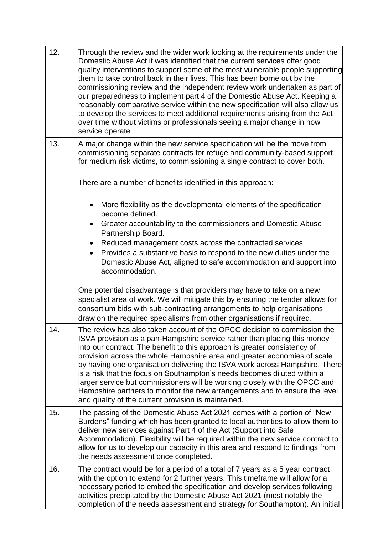| 12. | Through the review and the wider work looking at the requirements under the<br>Domestic Abuse Act it was identified that the current services offer good<br>quality interventions to support some of the most vulnerable people supporting<br>them to take control back in their lives. This has been borne out by the<br>commissioning review and the independent review work undertaken as part of<br>our preparedness to implement part 4 of the Domestic Abuse Act. Keeping a<br>reasonably comparative service within the new specification will also allow us<br>to develop the services to meet additional requirements arising from the Act<br>over time without victims or professionals seeing a major change in how<br>service operate |  |  |  |
|-----|---------------------------------------------------------------------------------------------------------------------------------------------------------------------------------------------------------------------------------------------------------------------------------------------------------------------------------------------------------------------------------------------------------------------------------------------------------------------------------------------------------------------------------------------------------------------------------------------------------------------------------------------------------------------------------------------------------------------------------------------------|--|--|--|
| 13. | A major change within the new service specification will be the move from<br>commissioning separate contracts for refuge and community-based support<br>for medium risk victims, to commissioning a single contract to cover both.                                                                                                                                                                                                                                                                                                                                                                                                                                                                                                                |  |  |  |
|     | There are a number of benefits identified in this approach:                                                                                                                                                                                                                                                                                                                                                                                                                                                                                                                                                                                                                                                                                       |  |  |  |
|     | More flexibility as the developmental elements of the specification<br>$\bullet$<br>become defined.                                                                                                                                                                                                                                                                                                                                                                                                                                                                                                                                                                                                                                               |  |  |  |
|     | Greater accountability to the commissioners and Domestic Abuse<br>$\bullet$<br>Partnership Board.                                                                                                                                                                                                                                                                                                                                                                                                                                                                                                                                                                                                                                                 |  |  |  |
|     | Reduced management costs across the contracted services.<br>$\bullet$<br>Provides a substantive basis to respond to the new duties under the<br>$\bullet$                                                                                                                                                                                                                                                                                                                                                                                                                                                                                                                                                                                         |  |  |  |
|     | Domestic Abuse Act, aligned to safe accommodation and support into<br>accommodation.                                                                                                                                                                                                                                                                                                                                                                                                                                                                                                                                                                                                                                                              |  |  |  |
|     | One potential disadvantage is that providers may have to take on a new<br>specialist area of work. We will mitigate this by ensuring the tender allows for<br>consortium bids with sub-contracting arrangements to help organisations<br>draw on the required specialisms from other organisations if required.                                                                                                                                                                                                                                                                                                                                                                                                                                   |  |  |  |
| 14  | The review has also taken account of the OPCC decision to commission the<br>ISVA provision as a pan-Hampshire service rather than placing this money<br>into our contract. The benefit to this approach is greater consistency of<br>provision across the whole Hampshire area and greater economies of scale<br>by having one organisation delivering the ISVA work across Hampshire. There<br>is a risk that the focus on Southampton's needs becomes diluted within a<br>larger service but commissioners will be working closely with the OPCC and<br>Hampshire partners to monitor the new arrangements and to ensure the level<br>and quality of the current provision is maintained.                                                       |  |  |  |
| 15. | The passing of the Domestic Abuse Act 2021 comes with a portion of "New<br>Burdens" funding which has been granted to local authorities to allow them to<br>deliver new services against Part 4 of the Act (Support into Safe<br>Accommodation). Flexibility will be required within the new service contract to<br>allow for us to develop our capacity in this area and respond to findings from<br>the needs assessment once completed.                                                                                                                                                                                                                                                                                                        |  |  |  |
| 16. | The contract would be for a period of a total of 7 years as a 5 year contract<br>with the option to extend for 2 further years. This timeframe will allow for a<br>necessary period to embed the specification and develop services following<br>activities precipitated by the Domestic Abuse Act 2021 (most notably the<br>completion of the needs assessment and strategy for Southampton). An initial                                                                                                                                                                                                                                                                                                                                         |  |  |  |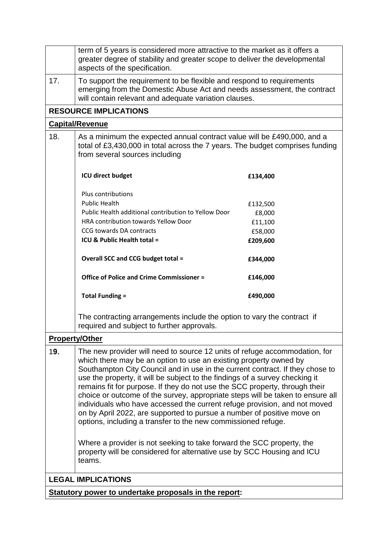|                           | term of 5 years is considered more attractive to the market as it offers a<br>greater degree of stability and greater scope to deliver the developmental<br>aspects of the specification.                                                                                                                                                                                                                                                                                                                                                                                                                                                                                                                                                                                                                                                                    |          |  |  |
|---------------------------|--------------------------------------------------------------------------------------------------------------------------------------------------------------------------------------------------------------------------------------------------------------------------------------------------------------------------------------------------------------------------------------------------------------------------------------------------------------------------------------------------------------------------------------------------------------------------------------------------------------------------------------------------------------------------------------------------------------------------------------------------------------------------------------------------------------------------------------------------------------|----------|--|--|
| 17.                       | To support the requirement to be flexible and respond to requirements<br>emerging from the Domestic Abuse Act and needs assessment, the contract<br>will contain relevant and adequate variation clauses.                                                                                                                                                                                                                                                                                                                                                                                                                                                                                                                                                                                                                                                    |          |  |  |
|                           | <b>RESOURCE IMPLICATIONS</b>                                                                                                                                                                                                                                                                                                                                                                                                                                                                                                                                                                                                                                                                                                                                                                                                                                 |          |  |  |
|                           | <b>Capital/Revenue</b>                                                                                                                                                                                                                                                                                                                                                                                                                                                                                                                                                                                                                                                                                                                                                                                                                                       |          |  |  |
| 18.                       | As a minimum the expected annual contract value will be £490,000, and a<br>total of £3,430,000 in total across the 7 years. The budget comprises funding<br>from several sources including                                                                                                                                                                                                                                                                                                                                                                                                                                                                                                                                                                                                                                                                   |          |  |  |
|                           | <b>ICU direct budget</b>                                                                                                                                                                                                                                                                                                                                                                                                                                                                                                                                                                                                                                                                                                                                                                                                                                     | £134,400 |  |  |
|                           | Plus contributions                                                                                                                                                                                                                                                                                                                                                                                                                                                                                                                                                                                                                                                                                                                                                                                                                                           |          |  |  |
|                           | <b>Public Health</b>                                                                                                                                                                                                                                                                                                                                                                                                                                                                                                                                                                                                                                                                                                                                                                                                                                         | £132,500 |  |  |
|                           | Public Health additional contribution to Yellow Door                                                                                                                                                                                                                                                                                                                                                                                                                                                                                                                                                                                                                                                                                                                                                                                                         | £8,000   |  |  |
|                           | HRA contribution towards Yellow Door                                                                                                                                                                                                                                                                                                                                                                                                                                                                                                                                                                                                                                                                                                                                                                                                                         | £11,100  |  |  |
|                           | CCG towards DA contracts                                                                                                                                                                                                                                                                                                                                                                                                                                                                                                                                                                                                                                                                                                                                                                                                                                     | £58,000  |  |  |
|                           | ICU & Public Health total =                                                                                                                                                                                                                                                                                                                                                                                                                                                                                                                                                                                                                                                                                                                                                                                                                                  | £209,600 |  |  |
|                           | <b>Overall SCC and CCG budget total =</b>                                                                                                                                                                                                                                                                                                                                                                                                                                                                                                                                                                                                                                                                                                                                                                                                                    | £344,000 |  |  |
|                           | Office of Police and Crime Commissioner =                                                                                                                                                                                                                                                                                                                                                                                                                                                                                                                                                                                                                                                                                                                                                                                                                    | £146,000 |  |  |
|                           | <b>Total Funding =</b>                                                                                                                                                                                                                                                                                                                                                                                                                                                                                                                                                                                                                                                                                                                                                                                                                                       | £490,000 |  |  |
|                           | The contracting arrangements include the option to vary the contract if<br>required and subject to further approvals.                                                                                                                                                                                                                                                                                                                                                                                                                                                                                                                                                                                                                                                                                                                                        |          |  |  |
|                           | <b>Property/Other</b>                                                                                                                                                                                                                                                                                                                                                                                                                                                                                                                                                                                                                                                                                                                                                                                                                                        |          |  |  |
| 19.                       | The new provider will need to source 12 units of refuge accommodation, for<br>which there may be an option to use an existing property owned by<br>Southampton City Council and in use in the current contract. If they chose to<br>use the property, it will be subject to the findings of a survey checking it<br>remains fit for purpose. If they do not use the SCC property, through their<br>choice or outcome of the survey, appropriate steps will be taken to ensure all<br>individuals who have accessed the current refuge provision, and not moved<br>on by April 2022, are supported to pursue a number of positive move on<br>options, including a transfer to the new commissioned refuge.<br>Where a provider is not seeking to take forward the SCC property, the<br>property will be considered for alternative use by SCC Housing and ICU |          |  |  |
|                           | teams.                                                                                                                                                                                                                                                                                                                                                                                                                                                                                                                                                                                                                                                                                                                                                                                                                                                       |          |  |  |
| <b>LEGAL IMPLICATIONS</b> |                                                                                                                                                                                                                                                                                                                                                                                                                                                                                                                                                                                                                                                                                                                                                                                                                                                              |          |  |  |
|                           | Statutory power to undertake proposals in the report:                                                                                                                                                                                                                                                                                                                                                                                                                                                                                                                                                                                                                                                                                                                                                                                                        |          |  |  |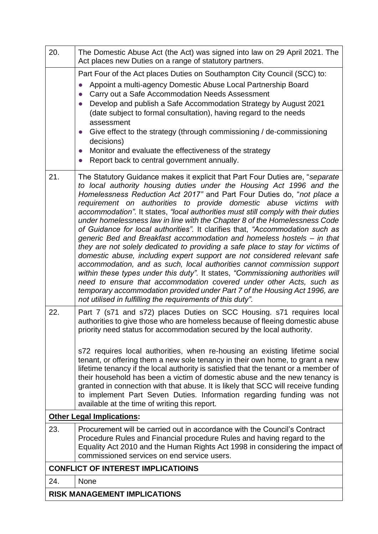| 20.<br>The Domestic Abuse Act (the Act) was signed into law on 29 April 2021. The<br>Act places new Duties on a range of statutory partners.                                                                                                                                                                                                                                                                                                                                                                                                                                                                                                                                                                                                                                                                                                                                                                                                                                                                                                                                                                                                                                               |
|--------------------------------------------------------------------------------------------------------------------------------------------------------------------------------------------------------------------------------------------------------------------------------------------------------------------------------------------------------------------------------------------------------------------------------------------------------------------------------------------------------------------------------------------------------------------------------------------------------------------------------------------------------------------------------------------------------------------------------------------------------------------------------------------------------------------------------------------------------------------------------------------------------------------------------------------------------------------------------------------------------------------------------------------------------------------------------------------------------------------------------------------------------------------------------------------|
| Part Four of the Act places Duties on Southampton City Council (SCC) to:                                                                                                                                                                                                                                                                                                                                                                                                                                                                                                                                                                                                                                                                                                                                                                                                                                                                                                                                                                                                                                                                                                                   |
| Appoint a multi-agency Domestic Abuse Local Partnership Board                                                                                                                                                                                                                                                                                                                                                                                                                                                                                                                                                                                                                                                                                                                                                                                                                                                                                                                                                                                                                                                                                                                              |
| Carry out a Safe Accommodation Needs Assessment<br>Develop and publish a Safe Accommodation Strategy by August 2021<br>(date subject to formal consultation), having regard to the needs                                                                                                                                                                                                                                                                                                                                                                                                                                                                                                                                                                                                                                                                                                                                                                                                                                                                                                                                                                                                   |
| assessment<br>Give effect to the strategy (through commissioning / de-commissioning<br>decisions)                                                                                                                                                                                                                                                                                                                                                                                                                                                                                                                                                                                                                                                                                                                                                                                                                                                                                                                                                                                                                                                                                          |
| Monitor and evaluate the effectiveness of the strategy                                                                                                                                                                                                                                                                                                                                                                                                                                                                                                                                                                                                                                                                                                                                                                                                                                                                                                                                                                                                                                                                                                                                     |
| Report back to central government annually.                                                                                                                                                                                                                                                                                                                                                                                                                                                                                                                                                                                                                                                                                                                                                                                                                                                                                                                                                                                                                                                                                                                                                |
| 21.<br>The Statutory Guidance makes it explicit that Part Four Duties are, "separate"<br>to local authority housing duties under the Housing Act 1996 and the<br>Homelessness Reduction Act 2017" and Part Four Duties do, "not place a<br>requirement on authorities to provide domestic abuse victims with<br>accommodation". It states, "local authorities must still comply with their duties<br>under homelessness law in line with the Chapter 8 of the Homelessness Code<br>of Guidance for local authorities". It clarifies that, "Accommodation such as<br>generic Bed and Breakfast accommodation and homeless hostels - in that<br>they are not solely dedicated to providing a safe place to stay for victims of<br>domestic abuse, including expert support are not considered relevant safe<br>accommodation, and as such, local authorities cannot commission support<br>within these types under this duty". It states, "Commissioning authorities will<br>need to ensure that accommodation covered under other Acts, such as<br>temporary accommodation provided under Part 7 of the Housing Act 1996, are<br>not utilised in fulfilling the requirements of this duty". |
| 22.<br>Part 7 (s71 and s72) places Duties on SCC Housing. s71 requires local<br>authorities to give those who are homeless because of fleeing domestic abuse<br>priority need status for accommodation secured by the local authority.                                                                                                                                                                                                                                                                                                                                                                                                                                                                                                                                                                                                                                                                                                                                                                                                                                                                                                                                                     |
| s72 requires local authorities, when re-housing an existing lifetime social<br>tenant, or offering them a new sole tenancy in their own home, to grant a new<br>lifetime tenancy if the local authority is satisfied that the tenant or a member of<br>their household has been a victim of domestic abuse and the new tenancy is<br>granted in connection with that abuse. It is likely that SCC will receive funding<br>to implement Part Seven Duties. Information regarding funding was not<br>available at the time of writing this report.                                                                                                                                                                                                                                                                                                                                                                                                                                                                                                                                                                                                                                           |
| <b>Other Legal Implications:</b>                                                                                                                                                                                                                                                                                                                                                                                                                                                                                                                                                                                                                                                                                                                                                                                                                                                                                                                                                                                                                                                                                                                                                           |
| 23.<br>Procurement will be carried out in accordance with the Council's Contract<br>Procedure Rules and Financial procedure Rules and having regard to the<br>Equality Act 2010 and the Human Rights Act 1998 in considering the impact of<br>commissioned services on end service users.                                                                                                                                                                                                                                                                                                                                                                                                                                                                                                                                                                                                                                                                                                                                                                                                                                                                                                  |
| <b>CONFLICT OF INTEREST IMPLICATIOINS</b>                                                                                                                                                                                                                                                                                                                                                                                                                                                                                                                                                                                                                                                                                                                                                                                                                                                                                                                                                                                                                                                                                                                                                  |
| 24.<br>None                                                                                                                                                                                                                                                                                                                                                                                                                                                                                                                                                                                                                                                                                                                                                                                                                                                                                                                                                                                                                                                                                                                                                                                |
| <b>RISK MANAGEMENT IMPLICATIONS</b>                                                                                                                                                                                                                                                                                                                                                                                                                                                                                                                                                                                                                                                                                                                                                                                                                                                                                                                                                                                                                                                                                                                                                        |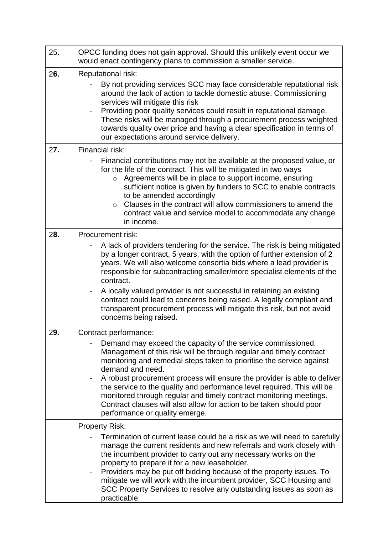| 25. | OPCC funding does not gain approval. Should this unlikely event occur we<br>would enact contingency plans to commission a smaller service.                                                                                                                                                                                                                                                                                                                                                                                                                                                                |  |  |  |
|-----|-----------------------------------------------------------------------------------------------------------------------------------------------------------------------------------------------------------------------------------------------------------------------------------------------------------------------------------------------------------------------------------------------------------------------------------------------------------------------------------------------------------------------------------------------------------------------------------------------------------|--|--|--|
| 26. | <b>Reputational risk:</b>                                                                                                                                                                                                                                                                                                                                                                                                                                                                                                                                                                                 |  |  |  |
|     | By not providing services SCC may face considerable reputational risk<br>around the lack of action to tackle domestic abuse. Commissioning<br>services will mitigate this risk<br>Providing poor quality services could result in reputational damage.<br>These risks will be managed through a procurement process weighted<br>towards quality over price and having a clear specification in terms of<br>our expectations around service delivery.                                                                                                                                                      |  |  |  |
| 27. | Financial risk:                                                                                                                                                                                                                                                                                                                                                                                                                                                                                                                                                                                           |  |  |  |
|     | Financial contributions may not be available at the proposed value, or<br>for the life of the contract. This will be mitigated in two ways<br>Agreements will be in place to support income, ensuring<br>$\circ$<br>sufficient notice is given by funders to SCC to enable contracts<br>to be amended accordingly<br>Clauses in the contract will allow commissioners to amend the<br>$\circ$<br>contract value and service model to accommodate any change<br>in income.                                                                                                                                 |  |  |  |
| 28. | <b>Procurement risk:</b>                                                                                                                                                                                                                                                                                                                                                                                                                                                                                                                                                                                  |  |  |  |
|     | A lack of providers tendering for the service. The risk is being mitigated<br>by a longer contract, 5 years, with the option of further extension of 2<br>years. We will also welcome consortia bids where a lead provider is<br>responsible for subcontracting smaller/more specialist elements of the<br>contract.<br>A locally valued provider is not successful in retaining an existing<br>$\qquad \qquad \blacksquare$<br>contract could lead to concerns being raised. A legally compliant and<br>transparent procurement process will mitigate this risk, but not avoid<br>concerns being raised. |  |  |  |
| 29. | Contract performance:                                                                                                                                                                                                                                                                                                                                                                                                                                                                                                                                                                                     |  |  |  |
|     | Demand may exceed the capacity of the service commissioned.<br>Management of this risk will be through regular and timely contract<br>monitoring and remedial steps taken to prioritise the service against<br>demand and need.<br>A robust procurement process will ensure the provider is able to deliver<br>-<br>the service to the quality and performance level required. This will be<br>monitored through regular and timely contract monitoring meetings.<br>Contract clauses will also allow for action to be taken should poor<br>performance or quality emerge.                                |  |  |  |
|     | <b>Property Risk:</b>                                                                                                                                                                                                                                                                                                                                                                                                                                                                                                                                                                                     |  |  |  |
|     | Termination of current lease could be a risk as we will need to carefully<br>manage the current residents and new referrals and work closely with<br>the incumbent provider to carry out any necessary works on the<br>property to prepare it for a new leaseholder.<br>Providers may be put off bidding because of the property issues. To<br>mitigate we will work with the incumbent provider, SCC Housing and<br>SCC Property Services to resolve any outstanding issues as soon as<br>practicable.                                                                                                   |  |  |  |